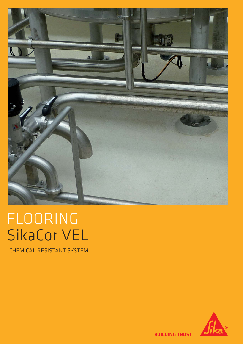

# FLOORING SikaCor VEL

**CHEMICAL RESISTANT SYSTEM** 



**BUILDING TRUST**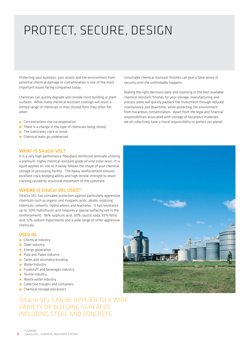## PROTECT, SECURE, DESIGN

Protecting your business, your assets and the environment from potential chemical damage or contamination is one of the most important issues facing companies today.

Chemicals can quickly degrade and corrode most building or plant surfaces. While many chemical resistant coatings will resist a limited range of chemicals in their diluted form they often fail when:

- **Concentrations rise via evaporation**
- **There is a change in the type of chemicals being stored**
- **The substrates crack or move**
- **n** Chemical leaks go undetected

## **WHAT IS SikaCor VEL?**

It is a very high performance fiberglass reinforced laminate utilising a premium, highly chemical resistant grade of vinyl ester resin. It is liquid applied on site so it easily follows the shape of your chemical storage or processing facility. The heavy reinforcement ensures excellent crack bridging ability and high tensile strength to resist cracking caused by structural movement of the substrate.

### **WHERE IS SikaCor VEL USED?**

SikaCor VEL has unrivaled protection against particularly aggressive chemicals such as organic and inorganic acids, alkalis, oxidizing chemicals, solvents, hydrocarbons and leachates. It has resistance up to: 50% hydrofluoric acid (requires a special surfacing veil in the reinforcement), 96% sulphuric acid, 50% caustic soda, 65% Nitric acid, 12% sodium hypochlorite and a wide range of other aggressive chemicals.

### **USED IN:**

- **n** Chemical industry
- **Steel industry**
- **Energy generation**
- **Pulp and Paper Industry**
- **Tanks and secondary bunding**
- **Nater Industry**
- **EXEC** Foodstuff and beverages industry
- **Textile industry**
- **Naste water industry**
- **Collection troughs and containers**
- **Chemical storage processors**

## Sikacor VEL CAN BE APPLIED TO A WIDE VARIETY OF BUILDING SURFACES INCLUDING STEEL AND CONCRETE

Unsuitable chemical resistant finishes can give a false sense of security until the unthinkable happens.

Making the right decisions early and investing in the best available chemical resistant finishes for your storage, manufacturing and process areas will quickly payback the investment through reduced maintenance and downtime, while protecting the environment from hazardous contamination. Apart from the legal and financial responsibilities associated with storage of hazardous materials, we all collectively have a moral responsibility to protect our planet.

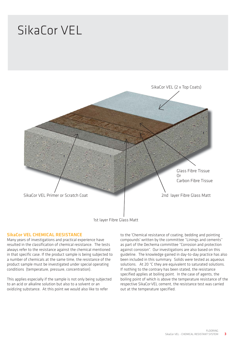## SikaCor VEL



1st layer Fibre Glass Matt

## **SikaCor VEL CHEMICAL RESISTANCE**

Many years of investigations and practical experience have resulted in the classification of chemical resistance. The tests always refer to the resistance against the chemical mentioned in that specific case. If the product sample is being subjected to a number of chemicals at the same time, the resistance of the product sample must be investigated under special operating conditions (temperature, pressure, concentration).

This applies especially if the sample is not only being subjected to an acid or alkaline solution but also to a solvent or an oxidizing substance. At this point we would also like to refer

to the 'Chemical resistance of coating, bedding and pointing compounds' written by the committee "Linings and cements" as part of the Dechema committee "Corrosion and protection against corrosion". Our investigations are also based on this guideline. The knowledge gained in day-to-day practice has also been included in this summary. Solids were tested as aqueous solutions. At 20 °C they are equivalent to saturated solutions. If nothing to the contrary has been stated, the resistance specified applies at boiling point. In the case of agents, the boiling point of which is above the temperature resistance of the respective SikaCorVEL cement, the resistance test was carried out at the temperature specified.